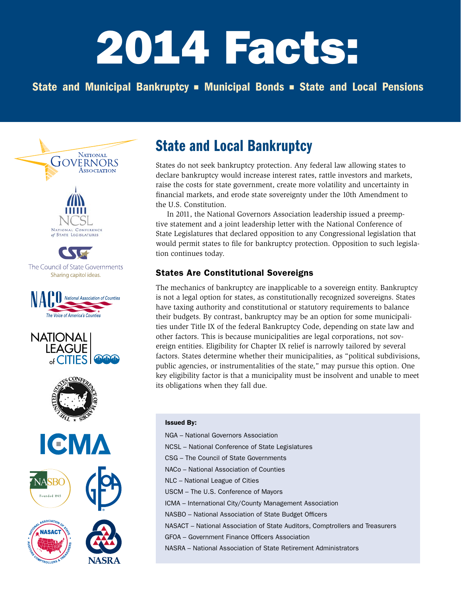# 2014 Facts:

# State and Municipal Bankruptcy • Municipal Bonds • State and Local Pensions



# State and Local Bankruptcy

States do not seek bankruptcy protection. Any federal law allowing states to declare bankruptcy would increase interest rates, rattle investors and markets, raise the costs for state government, create more volatility and uncertainty in financial markets, and erode state sovereignty under the 10th Amendment to the U.S. Constitution.

In 2011, the National Governors Association leadership issued a preemptive statement and a joint leadership letter with the National Conference of State Legislatures that declared opposition to any Congressional legislation that would permit states to file for bankruptcy protection. Opposition to such legislation continues today.

# States Are Constitutional Sovereigns

The mechanics of bankruptcy are inapplicable to a sovereign entity. Bankruptcy is not a legal option for states, as constitutionally recognized sovereigns. States have taxing authority and constitutional or statutory requirements to balance their budgets. By contrast, bankruptcy may be an option for some municipalities under Title IX of the federal Bankruptcy Code, depending on state law and other factors. This is because municipalities are legal corporations, not sovereign entities. Eligibility for Chapter IX relief is narrowly tailored by several factors. States determine whether their municipalities, as "political subdivisions, public agencies, or instrumentalities of the state," may pursue this option. One key eligibility factor is that a municipality must be insolvent and unable to meet its obligations when they fall due.

#### Issued By:

NGA – National Governors Association NCSL – National Conference of State Legislatures CSG – The Council of State Governments NACo – National Association of Counties NLC – National League of Cities USCM – The U.S. Conference of Mayors ICMA – International City/County Management Association NASBO – National Association of State Budget Officers NASACT – National Association of State Auditors, Comptrollers and Treasurers GFOA - Government Finance Officers Association NASRA – National Association of State Retirement Administrators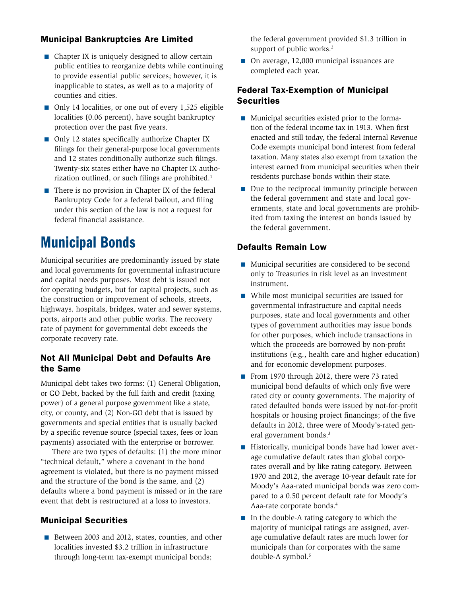## Municipal Bankruptcies Are Limited

- $\blacksquare$  Chapter IX is uniquely designed to allow certain public entities to reorganize debts while continuing to provide essential public services; however, it is inapplicable to states, as well as to a majority of counties and cities.
- $\Box$  Only 14 localities, or one out of every 1,525 eligible localities (0.06 percent), have sought bankruptcy protection over the past five years.
- $\Box$  Only 12 states specifically authorize Chapter IX filings for their general-purpose local governments and 12 states conditionally authorize such filings. Twenty-six states either have no Chapter IX authorization outlined, or such filings are prohibited.<sup>1</sup>
- $\blacksquare$  There is no provision in Chapter IX of the federal Bankruptcy Code for a federal bailout, and filing under this section of the law is not a request for federal financial assistance.

# Municipal Bonds

Municipal securities are predominantly issued by state and local governments for governmental infrastructure and capital needs purposes. Most debt is issued not for operating budgets, but for capital projects, such as the construction or improvement of schools, streets, highways, hospitals, bridges, water and sewer systems, ports, airports and other public works. The recovery rate of payment for governmental debt exceeds the corporate recovery rate.

#### Not All Municipal Debt and Defaults Are the Same

Municipal debt takes two forms: (1) General Obligation, or GO Debt, backed by the full faith and credit (taxing power) of a general purpose government like a state, city, or county, and (2) Non-GO debt that is issued by governments and special entities that is usually backed by a specific revenue source (special taxes, fees or loan payments) associated with the enterprise or borrower.

There are two types of defaults: (1) the more minor "technical default," where a covenant in the bond agreement is violated, but there is no payment missed and the structure of the bond is the same, and (2) defaults where a bond payment is missed or in the rare event that debt is restructured at a loss to investors.

## Municipal Securities

Between 2003 and 2012, states, counties, and other localities invested \$3.2 trillion in infrastructure through long-term tax-exempt municipal bonds;

the federal government provided \$1.3 trillion in support of public works.<sup>2</sup>

 $\Box$  On average, 12,000 municipal issuances are completed each year.

#### Federal Tax-Exemption of Municipal **Securities**

- $\blacksquare$  Municipal securities existed prior to the formation of the federal income tax in 1913. When first enacted and still today, the federal Internal Revenue Code exempts municipal bond interest from federal taxation. Many states also exempt from taxation the interest earned from municipal securities when their residents purchase bonds within their state.
- $\blacksquare$  Due to the reciprocal immunity principle between the federal government and state and local governments, state and local governments are prohibited from taxing the interest on bonds issued by the federal government.

#### Defaults Remain Low

- $\blacksquare$  Municipal securities are considered to be second only to Treasuries in risk level as an investment instrument.
- While most municipal securities are issued for governmental infrastructure and capital needs purposes, state and local governments and other types of government authorities may issue bonds for other purposes, which include transactions in which the proceeds are borrowed by non-profit institutions (e.g., health care and higher education) and for economic development purposes.
- From 1970 through 2012, there were 73 rated municipal bond defaults of which only five were rated city or county governments. The majority of rated defaulted bonds were issued by not-for-profit hospitals or housing project financings; of the five defaults in 2012, three were of Moody's-rated general government bonds.<sup>3</sup>
- Historically, municipal bonds have had lower average cumulative default rates than global corporates overall and by like rating category. Between 1970 and 2012, the average 10-year default rate for Moody's Aaa-rated municipal bonds was zero compared to a 0.50 percent default rate for Moody's Aaa-rate corporate bonds.4
- $\blacksquare$  In the double-A rating category to which the majority of municipal ratings are assigned, average cumulative default rates are much lower for municipals than for corporates with the same double-A symbol.<sup>5</sup>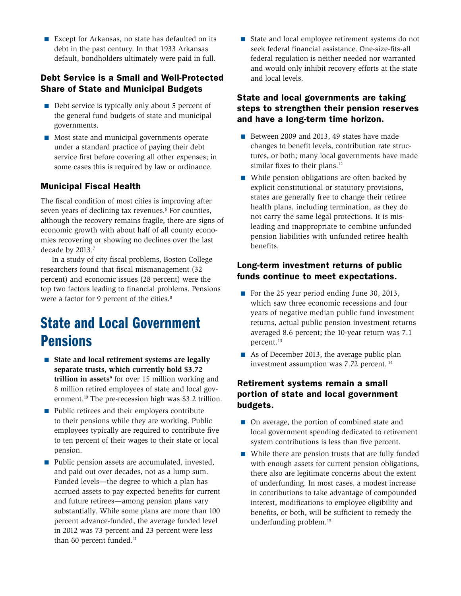Except for Arkansas, no state has defaulted on its debt in the past century. In that 1933 Arkansas default, bondholders ultimately were paid in full.

### Debt Service is a Small and Well-Protected Share of State and Municipal Budgets

- $\blacksquare$  Debt service is typically only about 5 percent of the general fund budgets of state and municipal governments.
- $\blacksquare$  Most state and municipal governments operate under a standard practice of paying their debt service first before covering all other expenses; in some cases this is required by law or ordinance.

## Municipal Fiscal Health

The fiscal condition of most cities is improving after seven years of declining tax revenues.<sup>6</sup> For counties, although the recovery remains fragile, there are signs of economic growth with about half of all county economies recovering or showing no declines over the last decade by 2013.<sup>7</sup>

In a study of city fiscal problems, Boston College researchers found that fiscal mismanagement (32 percent) and economic issues (28 percent) were the top two factors leading to financial problems. Pensions were a factor for 9 percent of the cities.<sup>8</sup>

# State and Local Government Pensions

- State and local retirement systems are legally **separate trusts, which currently hold \$3.72 trillion in assets<sup>9</sup>** for over 15 million working and 8 million retired employees of state and local government.10 The pre-recession high was \$3.2 trillion.
- $\blacksquare$  Public retirees and their employers contribute to their pensions while they are working. Public employees typically are required to contribute five to ten percent of their wages to their state or local pension.
- Public pension assets are accumulated, invested, and paid out over decades, not as a lump sum. Funded levels—the degree to which a plan has accrued assets to pay expected benefits for current and future retirees—among pension plans vary substantially. While some plans are more than 100 percent advance-funded, the average funded level in 2012 was 73 percent and 23 percent were less than 60 percent funded.<sup>11</sup>

 $\blacksquare$  State and local employee retirement systems do not seek federal financial assistance. One-size-fits-all federal regulation is neither needed nor warranted and would only inhibit recovery efforts at the state and local levels.

## State and local governments are taking steps to strengthen their pension reserves and have a long-term time horizon.

- Between 2009 and 2013, 49 states have made changes to benefit levels, contribution rate structures, or both; many local governments have made similar fixes to their plans.<sup>12</sup>
- $\blacksquare$  While pension obligations are often backed by explicit constitutional or statutory provisions, states are generally free to change their retiree health plans, including termination, as they do not carry the same legal protections. It is misleading and inappropriate to combine unfunded pension liabilities with unfunded retiree health benefits.

#### Long-term investment returns of public funds continue to meet expectations.

- For the 25 year period ending June 30, 2013, which saw three economic recessions and four years of negative median public fund investment returns, actual public pension investment returns averaged 8.6 percent; the 10-year return was 7.1 percent.<sup>13</sup>
- $\blacksquare$  As of December 2013, the average public plan investment assumption was 7.72 percent. 14

### Retirement systems remain a small portion of state and local government budgets.

- On average, the portion of combined state and local government spending dedicated to retirement system contributions is less than five percent.
- While there are pension trusts that are fully funded with enough assets for current pension obligations, there also are legitimate concerns about the extent of underfunding. In most cases, a modest increase in contributions to take advantage of compounded interest, modifications to employee eligibility and benefits, or both, will be sufficient to remedy the underfunding problem.15